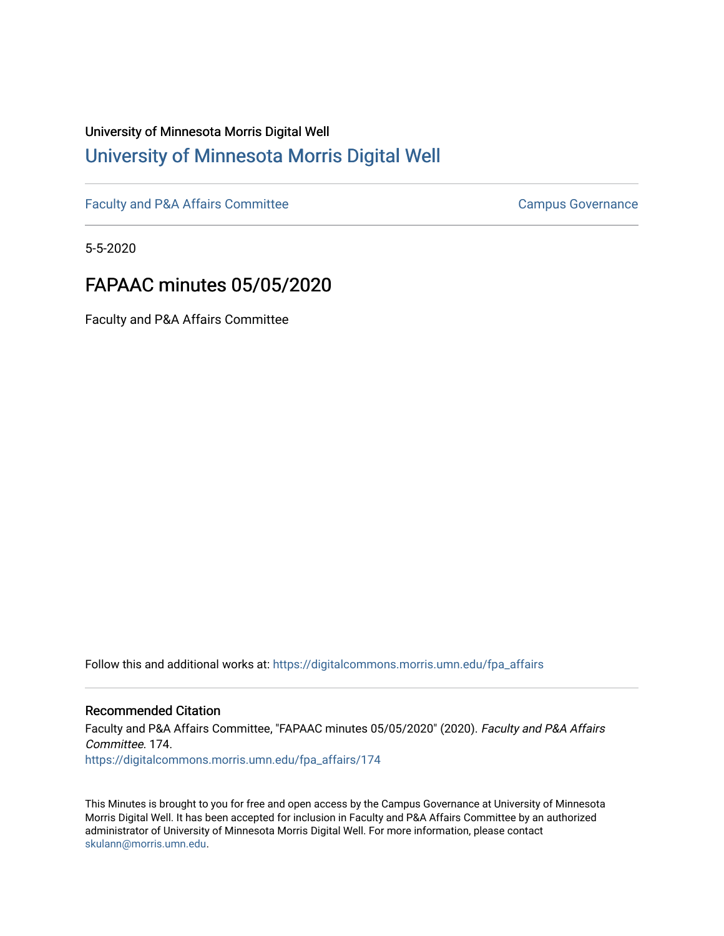# University of Minnesota Morris Digital Well [University of Minnesota Morris Digital Well](https://digitalcommons.morris.umn.edu/)

[Faculty and P&A Affairs Committee](https://digitalcommons.morris.umn.edu/fpa_affairs) [Campus Governance](https://digitalcommons.morris.umn.edu/campgov) Campus Governance

5-5-2020

# FAPAAC minutes 05/05/2020

Faculty and P&A Affairs Committee

Follow this and additional works at: [https://digitalcommons.morris.umn.edu/fpa\\_affairs](https://digitalcommons.morris.umn.edu/fpa_affairs?utm_source=digitalcommons.morris.umn.edu%2Ffpa_affairs%2F174&utm_medium=PDF&utm_campaign=PDFCoverPages)

# Recommended Citation

Faculty and P&A Affairs Committee, "FAPAAC minutes 05/05/2020" (2020). Faculty and P&A Affairs Committee. 174. [https://digitalcommons.morris.umn.edu/fpa\\_affairs/174](https://digitalcommons.morris.umn.edu/fpa_affairs/174?utm_source=digitalcommons.morris.umn.edu%2Ffpa_affairs%2F174&utm_medium=PDF&utm_campaign=PDFCoverPages)

This Minutes is brought to you for free and open access by the Campus Governance at University of Minnesota Morris Digital Well. It has been accepted for inclusion in Faculty and P&A Affairs Committee by an authorized administrator of University of Minnesota Morris Digital Well. For more information, please contact [skulann@morris.umn.edu.](mailto:skulann@morris.umn.edu)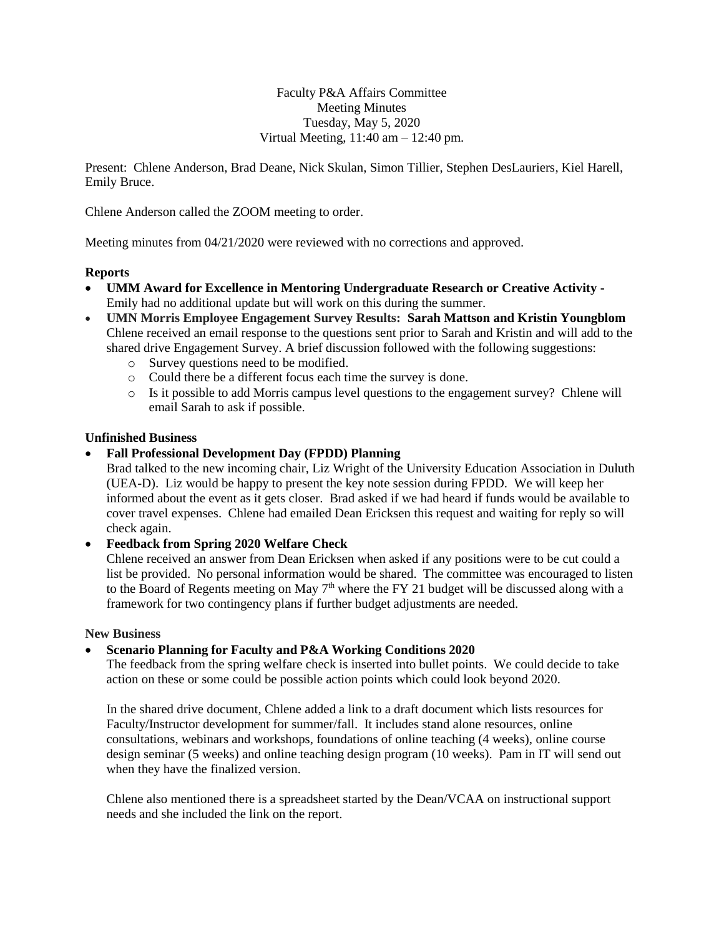Faculty P&A Affairs Committee Meeting Minutes Tuesday, May 5, 2020 Virtual Meeting, 11:40 am – 12:40 pm.

Present: Chlene Anderson, Brad Deane, Nick Skulan, Simon Tillier, Stephen DesLauriers, Kiel Harell, Emily Bruce.

Chlene Anderson called the ZOOM meeting to order.

Meeting minutes from 04/21/2020 were reviewed with no corrections and approved.

## **Reports**

- **[UMM Award for Excellence in Mentoring Undergraduate Research or Creative Activity](https://docs.google.com/document/d/1FjuNb6Zat8mHLtoH98dI3jbKK3la0lDUU929bIdbyIQ/edit?usp=sharing) -** Emily had no additional update but will work on this during the summer.
- **UMN Morris Employee Engagement Survey Results: Sarah Mattson and Kristin Youngblom** Chlene received an email response to the questions sent prior to Sarah and Kristin and will add to the shared drive Engagement Survey. A brief discussion followed with the following suggestions:
	- o Survey questions need to be modified.
	- o Could there be a different focus each time the survey is done.
	- o Is it possible to add Morris campus level questions to the engagement survey? Chlene will email Sarah to ask if possible.

## **Unfinished Business**

## **Fall Professional Development Day (FPDD) Planning**

Brad talked to the new incoming chair, Liz Wright of the University Education Association in Duluth (UEA-D). Liz would be happy to present the key note session during FPDD. We will keep her informed about the event as it gets closer. Brad asked if we had heard if funds would be available to cover travel expenses. Chlene had emailed Dean Ericksen this request and waiting for reply so will check again.

#### **Feedback from Spring 2020 Welfare Check**

Chlene received an answer from Dean Ericksen when asked if any positions were to be cut could a list be provided. No personal information would be shared. The committee was encouraged to listen to the Board of Regents meeting on May  $7<sup>th</sup>$  where the FY 21 budget will be discussed along with a framework for two contingency plans if further budget adjustments are needed.

#### **New Business**

## **[Scenario Planning for Faculty and P&A Working Conditions 2020](https://docs.google.com/document/d/1guupuXTpG66HZTmrpDIMP8bnPFSnqy1tvO71AEnEP10/edit?usp=sharing)**

The feedback from the spring welfare check is inserted into bullet points. We could decide to take action on these or some could be possible action points which could look beyond 2020.

In the shared drive document, Chlene added a link to a draft document which lists resources for Faculty/Instructor development for summer/fall. It includes stand alone resources, online consultations, webinars and workshops, foundations of online teaching (4 weeks), online course design seminar (5 weeks) and online teaching design program (10 weeks). Pam in IT will send out when they have the finalized version.

Chlene also mentioned there is a spreadsheet started by the Dean/VCAA on instructional support needs and she included the link on the report.